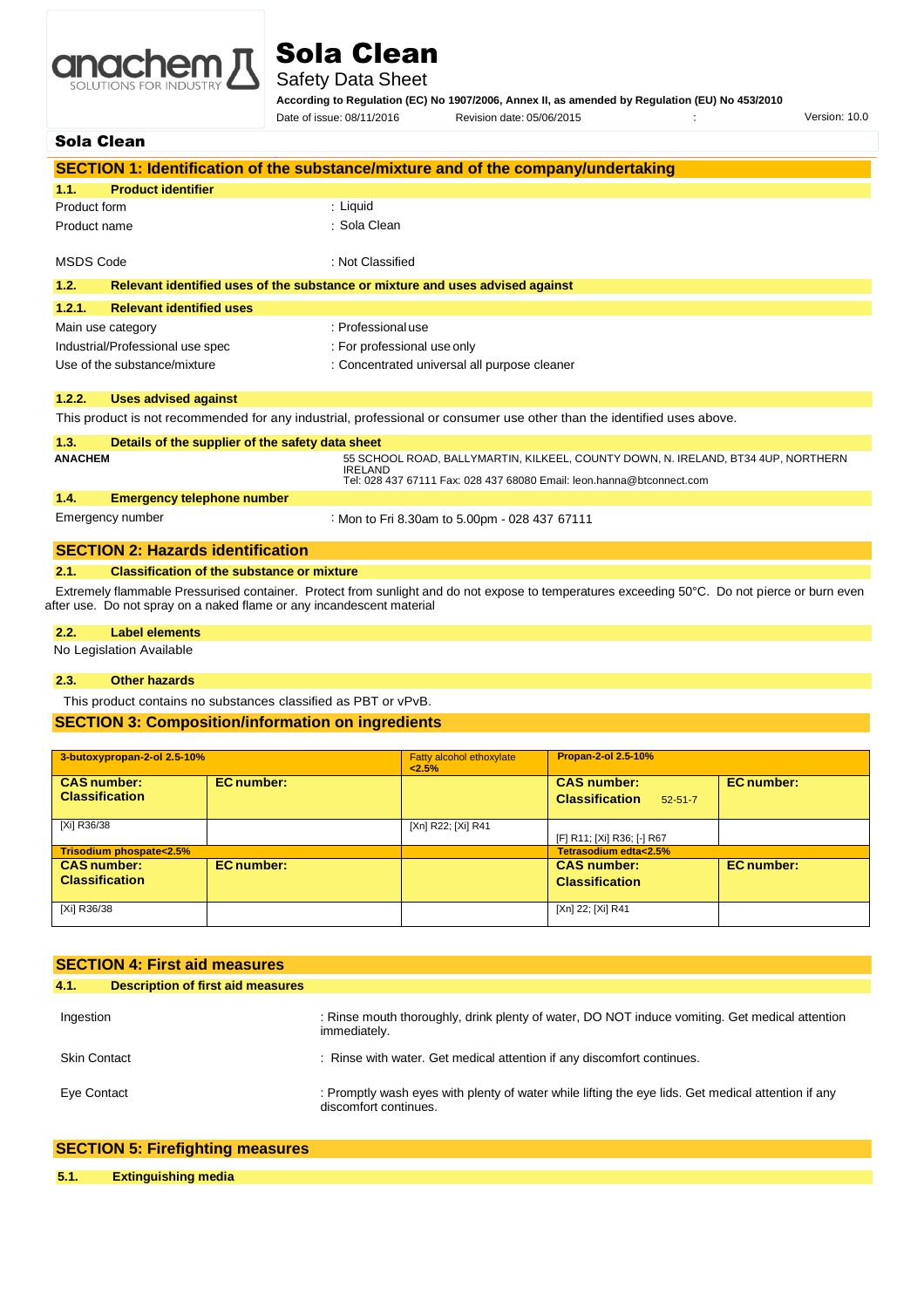

# Sola Clean

Safety Data Sheet

**According to Regulation (EC) No 1907/2006, Annex II, as amended by Regulation (EU) No 453/2010**

Date of issue: 08/11/2016 Revision date: 05/06/2015 Version: 10.0

## Sola Clean

|                                                          | SECTION 1: Identification of the substance/mixture and of the company/undertaking                                      |
|----------------------------------------------------------|------------------------------------------------------------------------------------------------------------------------|
| <b>Product identifier</b><br>1.1.                        |                                                                                                                        |
| Product form                                             | : Liquid                                                                                                               |
| Product name                                             | : Sola Clean                                                                                                           |
| <b>MSDS Code</b>                                         | : Not Classified                                                                                                       |
| 1.2.                                                     | Relevant identified uses of the substance or mixture and uses advised against                                          |
| <b>Relevant identified uses</b><br>1.2.1.                |                                                                                                                        |
| Main use category                                        | : Professional use                                                                                                     |
| Industrial/Professional use spec                         | : For professional use only                                                                                            |
| Use of the substance/mixture                             | : Concentrated universal all purpose cleaner                                                                           |
| 1.2.2.<br><b>Uses advised against</b>                    |                                                                                                                        |
|                                                          | This product is not recommended for any industrial, professional or consumer use other than the identified uses above. |
| 1.3.<br>Details of the supplier of the safety data sheet |                                                                                                                        |
| <b>ANACHEM</b>                                           | 55 SCHOOL ROAD, BALLYMARTIN, KILKEEL, COUNTY DOWN, N. IRELAND, BT34 4UP, NORTHERN<br><b>IRELAND</b>                    |
|                                                          | Tel: 028 437 67111 Fax: 028 437 68080 Email: leon.hanna@btconnect.com                                                  |
| <b>Emergency telephone number</b><br>1.4.                |                                                                                                                        |
| Emergency number                                         | : Mon to Fri 8.30am to 5.00pm - 028 437 67111                                                                          |
| <b>SECTION 2: Hazards identification</b>                 |                                                                                                                        |

#### **2.1. Classification of the substance or mixture**

 Extremely flammable Pressurised container. Protect from sunlight and do not expose to temperatures exceeding 50°C. Do not pierce or burn even after use. Do not spray on a naked flame or any incandescent material

#### **2.2. Label elements**

No Legislation Available

#### **2.3. Other hazards**

This product contains no substances classified as PBT or vPvB.

## **SECTION 3: Composition/information on ingredients**

| 3-butoxypropan-2-ol 2.5-10%                 |                   | Fatty alcohol ethoxylate<br>2.5% | <b>Propan-2-ol 2.5-10%</b>                                   |                   |
|---------------------------------------------|-------------------|----------------------------------|--------------------------------------------------------------|-------------------|
| <b>CAS number:</b><br><b>Classification</b> | <b>EC</b> number: |                                  | <b>CAS number:</b><br><b>Classification</b><br>$52 - 51 - 7$ | <b>EC</b> number: |
| [Xi] R36/38                                 |                   | [Xn] R22; [Xi] R41               | [F] R11; [Xi] R36; [-] R67                                   |                   |
| Trisodium phospate<2.5%                     |                   |                                  | Tetrasodium edta<2.5%                                        |                   |
| <b>CAS number:</b>                          | <b>EC</b> number: |                                  | <b>CAS number:</b>                                           | <b>EC</b> number: |
| <b>Classification</b>                       |                   |                                  | <b>Classification</b>                                        |                   |
| [Xi] R36/38                                 |                   |                                  | [Xn] 22; [Xi] R41                                            |                   |

| <b>SECTION 4: First aid measures</b>             |                                                                                                                             |
|--------------------------------------------------|-----------------------------------------------------------------------------------------------------------------------------|
| 4.1.<br><b>Description of first aid measures</b> |                                                                                                                             |
| Ingestion                                        | : Rinse mouth thoroughly, drink plenty of water, DO NOT induce vomiting. Get medical attention<br>immediately.              |
| <b>Skin Contact</b>                              | : Rinse with water. Get medical attention if any discomfort continues.                                                      |
| Eye Contact                                      | : Promptly wash eyes with plenty of water while lifting the eye lids. Get medical attention if any<br>discomfort continues. |

|      | <b>SECTION 5: Firefighting measures</b> |
|------|-----------------------------------------|
| 5.1. | <b>Extinguishing media</b>              |
|      |                                         |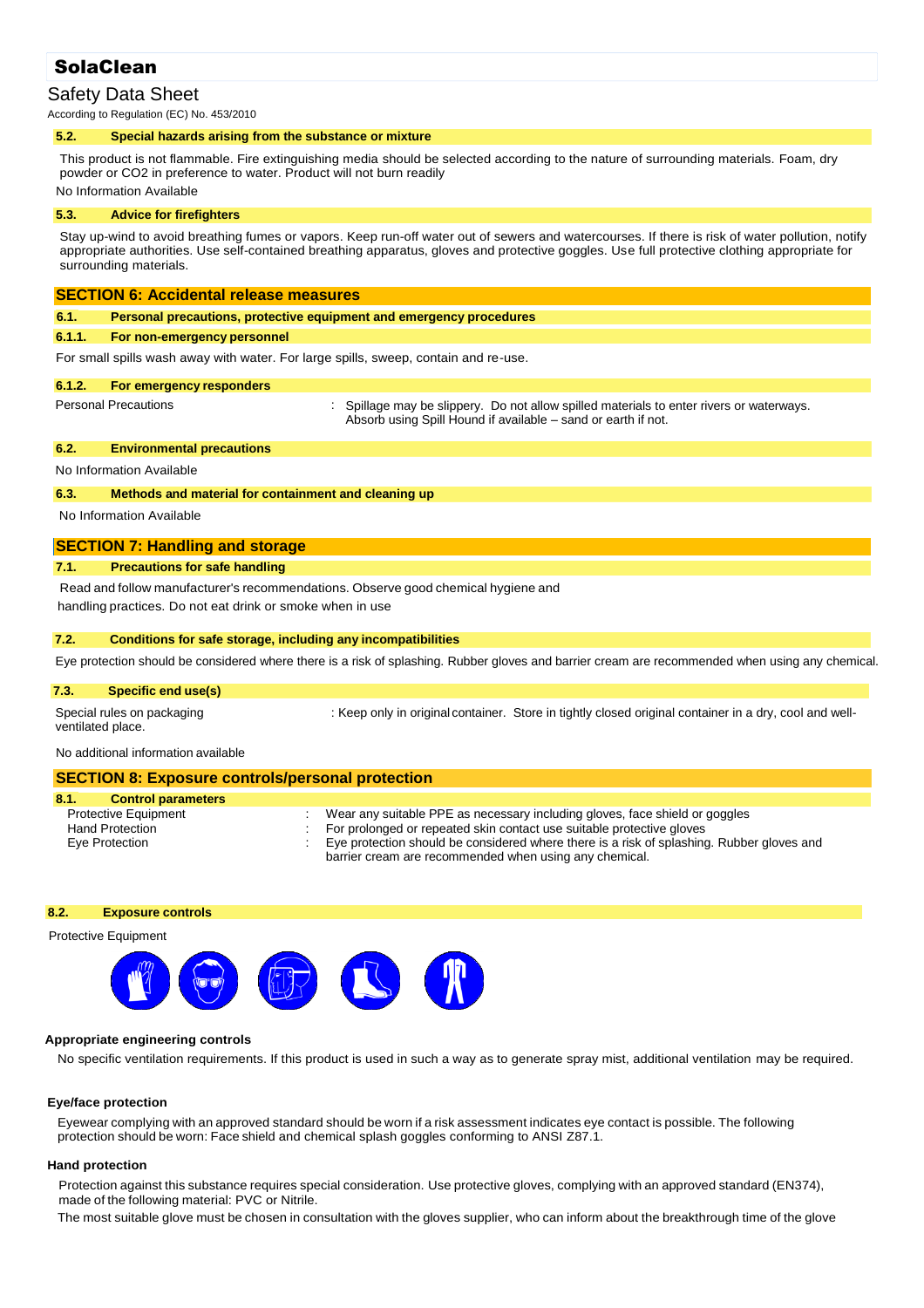# **SolaClean**

# Safety Data Sheet

According to Regulation (EC) No. 453/2010

#### **5.2. Special hazards arising from the substance or mixture**

This product is not flammable. Fire extinguishing media should be selected according to the nature of surrounding materials. Foam, dry powder or CO2 in preference to water. Product will not burn readily No Information Available

#### **5.3. Advice for firefighters**

Stay up-wind to avoid breathing fumes or vapors. Keep run-off water out of sewers and watercourses. If there is risk of water pollution, notify appropriate authorities. Use self-contained breathing apparatus, gloves and protective goggles. Use full protective clothing appropriate for surrounding materials.

## **SECTION 6: Accidental release measures**

| 6.1. | Personal precautions, protective equipment and emergency procedures |  |
|------|---------------------------------------------------------------------|--|
|      |                                                                     |  |

#### **6.1.1. For non-emergency personnel**

For small spills wash away with water. For large spills, sweep, contain and re-use.

#### **6.1.2. For emergency responders**

: Spillage may be slippery. Do not allow spilled materials to enter rivers or waterways. Absorb using Spill Hound if available – sand or earth if not.

## **6.2. Environmental precautions**

No Information Available

Personal Precautions :

#### **6.3. Methods and material for containment and cleaning up**

No Information Available

## **SECTION 7: Handling and storage**

## **7.1. Precautions for safe handling**

Read and follow manufacturer's recommendations. Observe good chemical hygiene and handling practices. Do not eat drink or smoke when in use

#### **7.2. Conditions for safe storage, including any incompatibilities**

Eye protection should be considered where there is a risk of splashing. Rubber gloves and barrier cream are recommended when using any chemical.

## **7.3. Specific end use(s)**

ventilated place.

Special rules on packaging : Keep only in original container. Store in tightly closed original container in a dry, cool and well-

No additional information available

# **SECTION 8: Exposure controls/personal protection**

| 8.1.<br><b>Control parameters</b> |                                                                                                                                                     |
|-----------------------------------|-----------------------------------------------------------------------------------------------------------------------------------------------------|
| <b>Protective Equipment</b>       | Wear any suitable PPE as necessary including gloves, face shield or goggles                                                                         |
| <b>Hand Protection</b>            | : For prolonged or repeated skin contact use suitable protective gloves                                                                             |
| Eye Protection                    | Eye protection should be considered where there is a risk of splashing. Rubber gloves and<br>barrier cream are recommended when using any chemical. |
|                                   |                                                                                                                                                     |

#### **8.2. Exposure controls**

Protective Equipment



#### **Appropriate engineering controls**

No specific ventilation requirements. If this product is used in such a way as to generate spray mist, additional ventilation may be required.

## **Eye/face protection**

Eyewear complying with an approved standard should be worn if a risk assessment indicates eye contact is possible. The following protection should be worn: Face shield and chemical splash goggles conforming to ANSI Z87.1.

#### **Hand protection**

Protection against this substance requires special consideration. Use protective gloves, complying with an approved standard (EN374), made of the following material: PVC or Nitrile.

The most suitable glove must be chosen in consultation with the gloves supplier, who can inform about the breakthrough time of the glove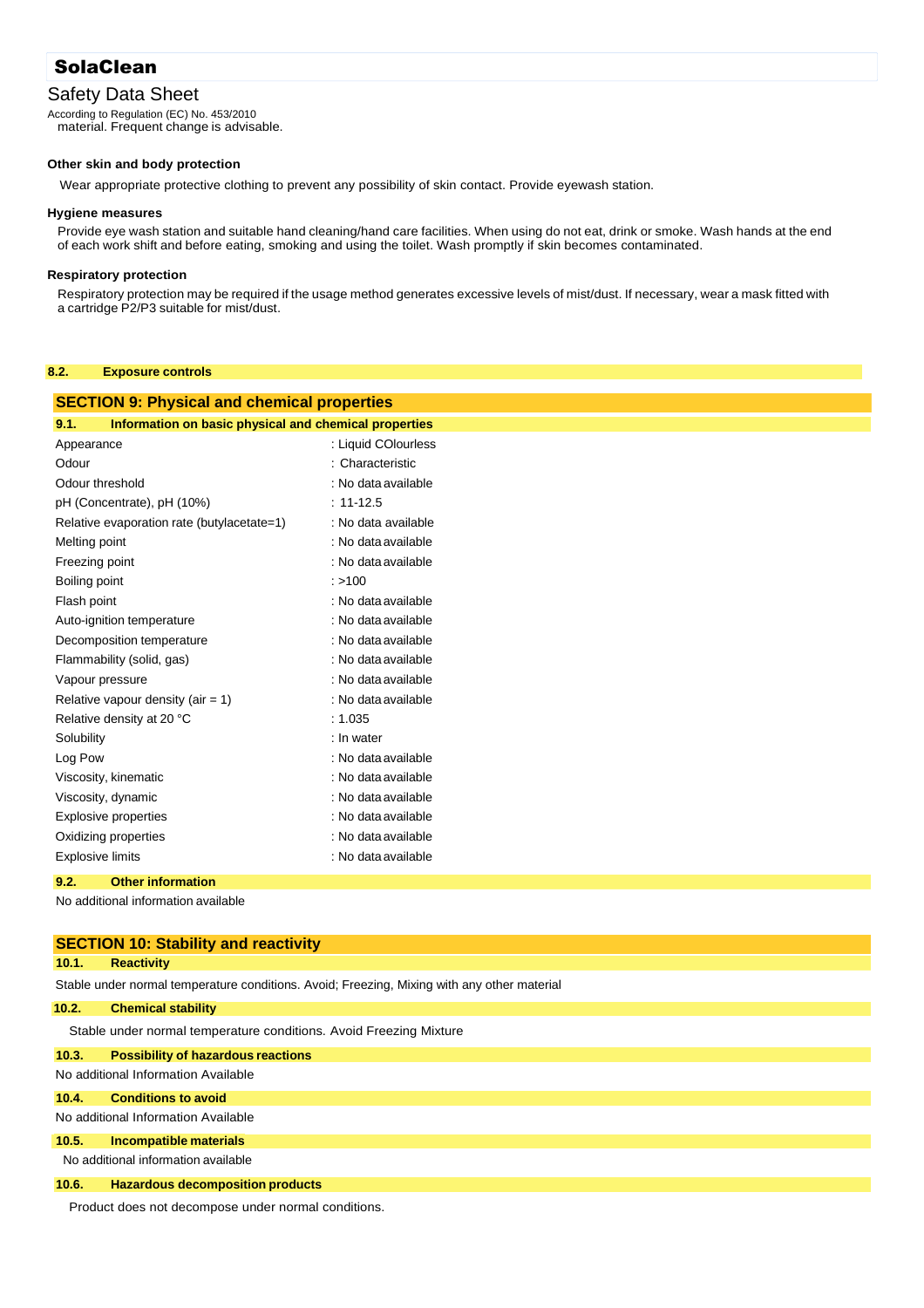# SolaClean

# Safety Data Sheet

According to Regulation (EC) No. 453/2010 material. Frequent change is advisable.

#### **Other skin and body protection**

Wear appropriate protective clothing to prevent any possibility of skin contact. Provide eyewash station.

#### **Hygiene measures**

Provide eye wash station and suitable hand cleaning/hand care facilities. When using do not eat, drink or smoke. Wash hands at the end of each work shift and before eating, smoking and using the toilet. Wash promptly if skin becomes contaminated.

#### **Respiratory protection**

Respiratory protection may be required if the usage method generates excessive levels of mist/dust. If necessary, wear a mask fitted with a cartridge P2/P3 suitable for mist/dust.

#### **8.2. Exposure controls**

| <b>SECTION 9: Physical and chemical properties</b>            |                     |  |
|---------------------------------------------------------------|---------------------|--|
| Information on basic physical and chemical properties<br>9.1. |                     |  |
| Appearance                                                    | : Liquid COlourless |  |
| Odour                                                         | : Characteristic    |  |
| Odour threshold                                               | : No data available |  |
| pH (Concentrate), pH (10%)                                    | $: 11 - 12.5$       |  |
| Relative evaporation rate (butylacetate=1)                    | : No data available |  |
| Melting point                                                 | : No data available |  |
| Freezing point                                                | : No data available |  |
| Boiling point                                                 | : > 100             |  |
| Flash point                                                   | : No data available |  |
| Auto-ignition temperature                                     | : No data available |  |
| Decomposition temperature                                     | : No data available |  |
| Flammability (solid, gas)                                     | : No data available |  |
| Vapour pressure                                               | : No data available |  |
| Relative vapour density (air $= 1$ )                          | : No data available |  |
| Relative density at 20 °C                                     | : 1.035             |  |
| Solubility                                                    | : In water          |  |
| Log Pow                                                       | : No data available |  |
| Viscosity, kinematic                                          | : No data available |  |
| Viscosity, dynamic                                            | : No data available |  |
| <b>Explosive properties</b>                                   | : No data available |  |
| Oxidizing properties                                          | : No data available |  |
| <b>Explosive limits</b>                                       | : No data available |  |
| 9.2.<br><b>Other information</b>                              |                     |  |

No additional information available

|       | <b>SECTION 10: Stability and reactivity</b>                                                 |
|-------|---------------------------------------------------------------------------------------------|
| 10.1. | <b>Reactivity</b>                                                                           |
|       | Stable under normal temperature conditions. Avoid: Freezing, Mixing with any other material |
| 10.2. | <b>Chemical stability</b>                                                                   |
|       | Stable under normal temperature conditions. Avoid Freezing Mixture                          |
| 10.3. | <b>Possibility of hazardous reactions</b>                                                   |
|       | No additional Information Available                                                         |
| 10.4. | <b>Conditions to avoid</b>                                                                  |
|       | No additional Information Available                                                         |
| 10.5. | Incompatible materials                                                                      |
|       | No additional information available                                                         |
| 10.6. | <b>Hazardous decomposition products</b>                                                     |

Product does not decompose under normal conditions.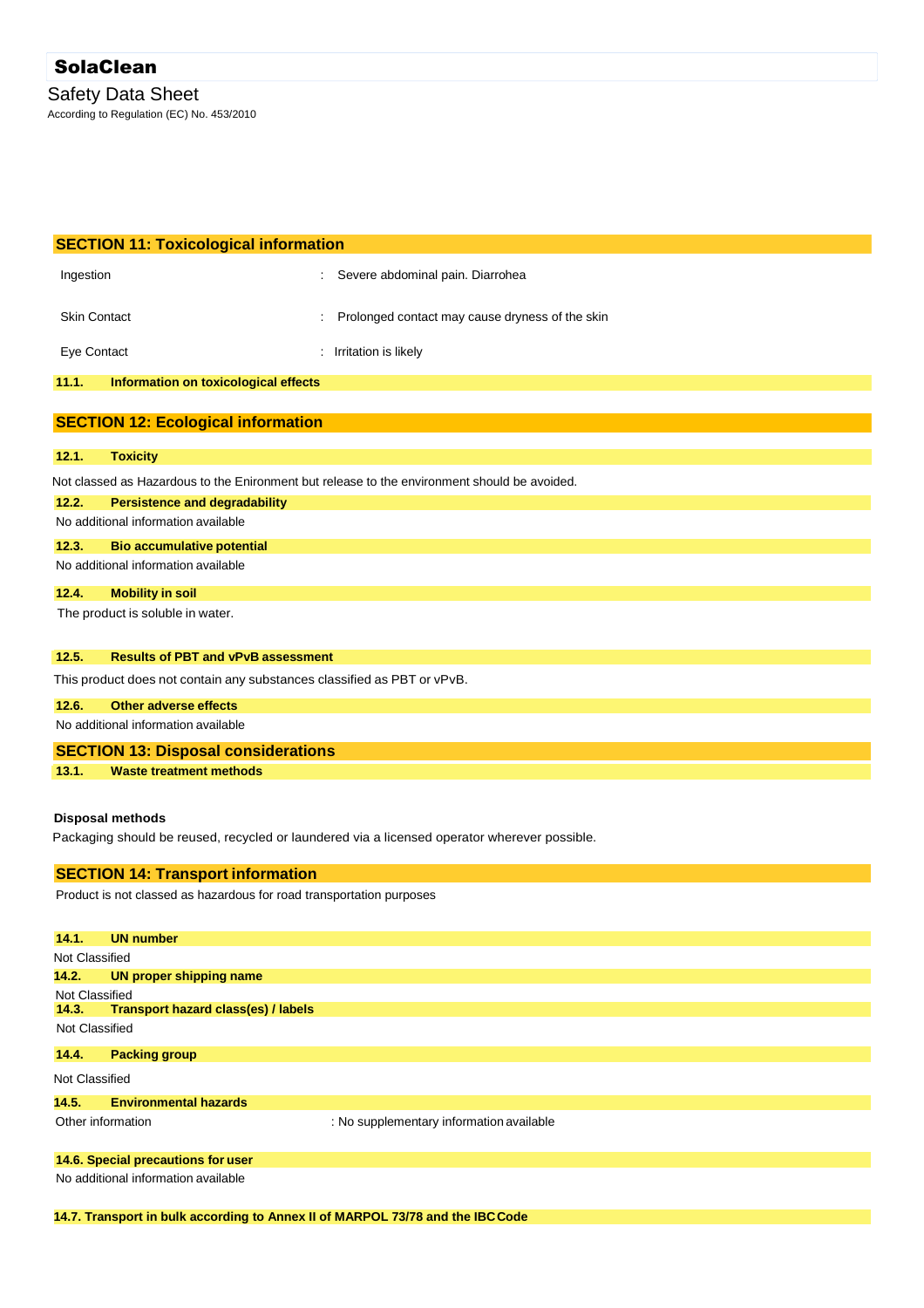| <b>SECTION 11: Toxicological information</b>                            |                                                                                              |
|-------------------------------------------------------------------------|----------------------------------------------------------------------------------------------|
| Ingestion                                                               | Severe abdominal pain. Diarrohea                                                             |
| <b>Skin Contact</b>                                                     | Prolonged contact may cause dryness of the skin                                              |
| Eye Contact                                                             | : Irritation is likely                                                                       |
| 11.1.<br>Information on toxicological effects                           |                                                                                              |
|                                                                         |                                                                                              |
| <b>SECTION 12: Ecological information</b>                               |                                                                                              |
| 12.1.<br><b>Toxicity</b>                                                |                                                                                              |
|                                                                         | Not classed as Hazardous to the Enironment but release to the environment should be avoided. |
| 12.2.<br><b>Persistence and degradability</b>                           |                                                                                              |
| No additional information available                                     |                                                                                              |
| 12.3.<br><b>Bio accumulative potential</b>                              |                                                                                              |
| No additional information available                                     |                                                                                              |
| 12.4.<br><b>Mobility in soil</b>                                        |                                                                                              |
| The product is soluble in water.                                        |                                                                                              |
|                                                                         |                                                                                              |
| 12.5.<br><b>Results of PBT and vPvB assessment</b>                      |                                                                                              |
| This product does not contain any substances classified as PBT or vPvB. |                                                                                              |
| 12.6.<br><b>Other adverse effects</b>                                   |                                                                                              |
| No additional information available                                     |                                                                                              |
| <b>SECTION 13: Disposal considerations</b>                              |                                                                                              |
| 13.1.<br><b>Waste treatment methods</b>                                 |                                                                                              |
|                                                                         |                                                                                              |
| <b>Disposal methods</b>                                                 |                                                                                              |
|                                                                         | Packaging should be reused, recycled or laundered via a licensed operator wherever possible. |
| <b>SECTION 14: Transport information</b>                                |                                                                                              |
| Product is not classed as hazardous for road transportation purposes    |                                                                                              |
| 14.1.<br><b>UN number</b>                                               |                                                                                              |
| <b>Not Classified</b>                                                   |                                                                                              |

|                   | 14.2. UN proper shipping name       |                                          |
|-------------------|-------------------------------------|------------------------------------------|
| Not Classified    |                                     |                                          |
| 14.3.             | Transport hazard class(es) / labels |                                          |
| Not Classified    |                                     |                                          |
| 14.4.             | <b>Packing group</b>                |                                          |
| Not Classified    |                                     |                                          |
| 14.5.             | <b>Environmental hazards</b>        |                                          |
| Other information |                                     | : No supplementary information available |
|                   | 14.6. Special precautions for user  |                                          |
|                   | No additional information available |                                          |

**14.7. Transport in bulk according to Annex II of MARPOL 73/78 and the IBCCode**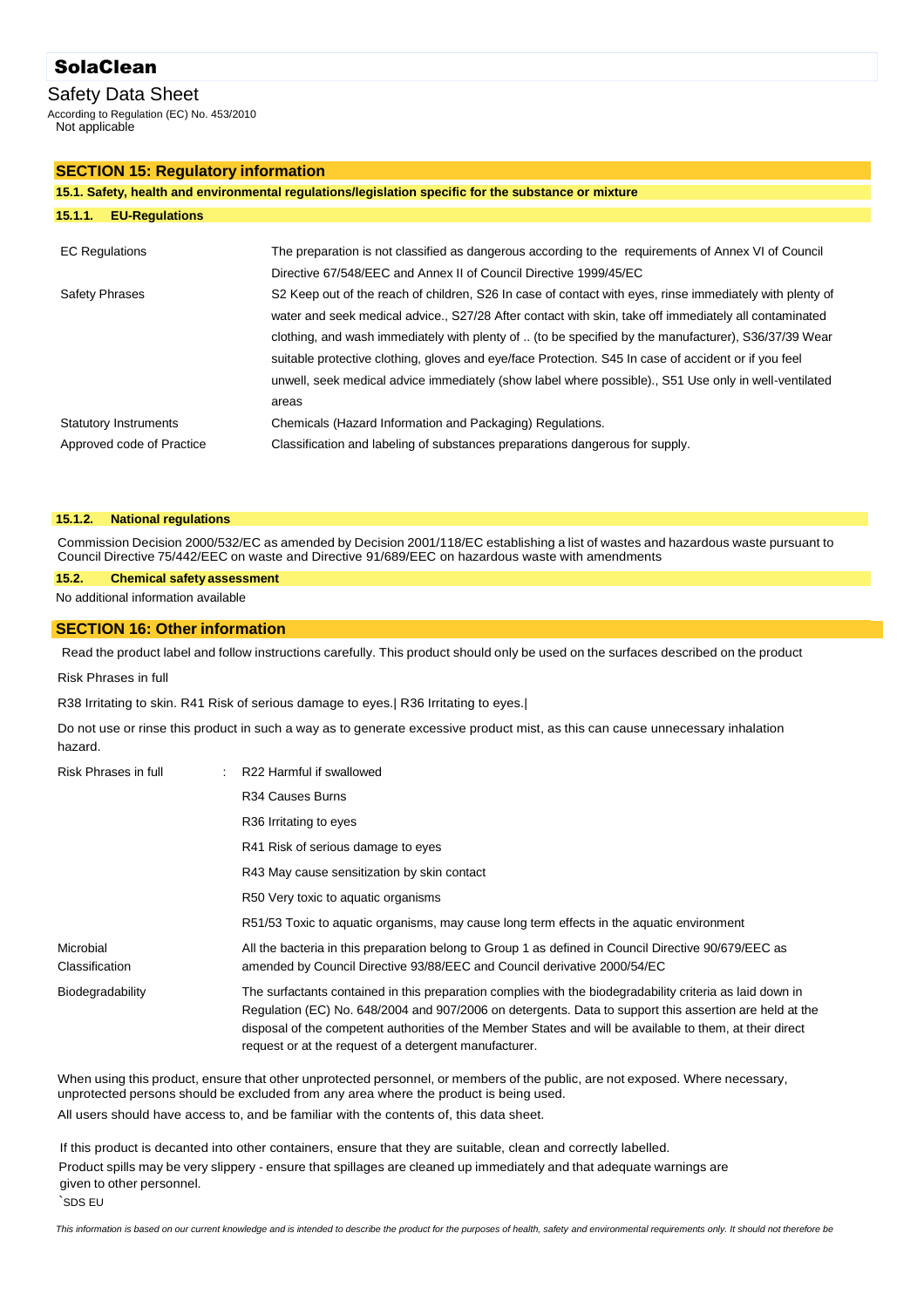# SolaClean

## Safety Data Sheet

According to Regulation (EC) No. 453/2010 Not applicable

#### **SECTION 15: Regulatory information**

|                                                           | 15.1. Safety, health and environmental regulations/legislation specific for the substance or mixture                                                                                                                                                                                                                                                                                                                                                                                                                                                |
|-----------------------------------------------------------|-----------------------------------------------------------------------------------------------------------------------------------------------------------------------------------------------------------------------------------------------------------------------------------------------------------------------------------------------------------------------------------------------------------------------------------------------------------------------------------------------------------------------------------------------------|
| <b>EU-Regulations</b><br>15.1.1.                          |                                                                                                                                                                                                                                                                                                                                                                                                                                                                                                                                                     |
| <b>EC Regulations</b>                                     | The preparation is not classified as dangerous according to the requirements of Annex VI of Council<br>Directive 67/548/EEC and Annex II of Council Directive 1999/45/EC                                                                                                                                                                                                                                                                                                                                                                            |
| <b>Safety Phrases</b>                                     | S2 Keep out of the reach of children, S26 In case of contact with eyes, rinse immediately with plenty of<br>water and seek medical advice., S27/28 After contact with skin, take off immediately all contaminated<br>clothing, and wash immediately with plenty of  (to be specified by the manufacturer), S36/37/39 Wear<br>suitable protective clothing, gloves and eye/face Protection. S45 In case of accident or if you feel<br>unwell, seek medical advice immediately (show label where possible)., S51 Use only in well-ventilated<br>areas |
| <b>Statutory Instruments</b><br>Approved code of Practice | Chemicals (Hazard Information and Packaging) Regulations.<br>Classification and labeling of substances preparations dangerous for supply.                                                                                                                                                                                                                                                                                                                                                                                                           |

#### **15.1.2. National regulations**

Commission Decision 2000/532/EC as amended by Decision 2001/118/EC establishing a list of wastes and hazardous waste pursuant to Council Directive 75/442/EEC on waste and Directive 91/689/EEC on hazardous waste with amendments

#### **15.2. Chemical safety assessment**

No additional information available

#### **SECTION 16: Other information**

Read the product label and follow instructions carefully. This product should only be used on the surfaces described on the product

#### Risk Phrases in full

R38 Irritating to skin. R41 Risk of serious damage to eyes.| R36 Irritating to eyes.|

Do not use or rinse this product in such a way as to generate excessive product mist, as this can cause unnecessary inhalation hazard.

| Risk Phrases in full        | R22 Harmful if swallowed                                                                                                                                                                                                                                                                                                                                                                    |
|-----------------------------|---------------------------------------------------------------------------------------------------------------------------------------------------------------------------------------------------------------------------------------------------------------------------------------------------------------------------------------------------------------------------------------------|
|                             | R <sub>34</sub> Causes Burns                                                                                                                                                                                                                                                                                                                                                                |
|                             | R <sub>36</sub> Irritating to eyes                                                                                                                                                                                                                                                                                                                                                          |
|                             | R41 Risk of serious damage to eyes                                                                                                                                                                                                                                                                                                                                                          |
|                             | R43 May cause sensitization by skin contact                                                                                                                                                                                                                                                                                                                                                 |
|                             | R50 Very toxic to aquatic organisms                                                                                                                                                                                                                                                                                                                                                         |
|                             | R51/53 Toxic to aquatic organisms, may cause long term effects in the aquatic environment                                                                                                                                                                                                                                                                                                   |
| Microbial<br>Classification | All the bacteria in this preparation belong to Group 1 as defined in Council Directive 90/679/EEC as<br>amended by Council Directive 93/88/EEC and Council derivative 2000/54/EC                                                                                                                                                                                                            |
| Biodegradability            | The surfactants contained in this preparation complies with the biodegradability criteria as laid down in<br>Regulation (EC) No. 648/2004 and 907/2006 on detergents. Data to support this assertion are held at the<br>disposal of the competent authorities of the Member States and will be available to them, at their direct<br>request or at the request of a detergent manufacturer. |

When using this product, ensure that other unprotected personnel, or members of the public, are not exposed. Where necessary, unprotected persons should be excluded from any area where the product is being used. All users should have access to, and be familiar with the contents of, this data sheet.

If this product is decanted into other containers, ensure that they are suitable, clean and correctly labelled. Product spills may be very slippery - ensure that spillages are cleaned up immediately and that adequate warnings are given to other personnel.

`SDS EU

*This information is based on our current knowledge and is intended to describe the product for the purposes of health, safety and environmental requirements only. It should not therefore be*